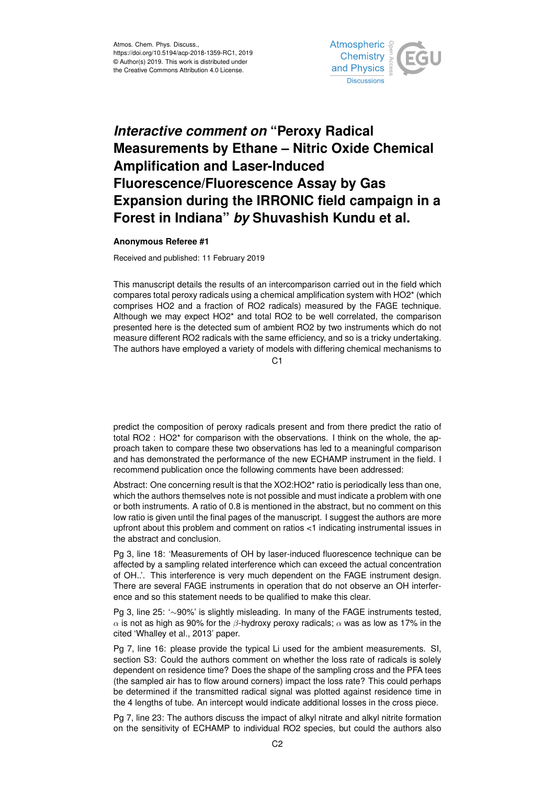

## *Interactive comment on* **"Peroxy Radical Measurements by Ethane – Nitric Oxide Chemical Amplification and Laser-Induced Fluorescence/Fluorescence Assay by Gas Expansion during the IRRONIC field campaign in a Forest in Indiana"** *by* **Shuvashish Kundu et al.**

## **Anonymous Referee #1**

Received and published: 11 February 2019

This manuscript details the results of an intercomparison carried out in the field which compares total peroxy radicals using a chemical amplification system with HO2\* (which comprises HO2 and a fraction of RO2 radicals) measured by the FAGE technique. Although we may expect HO2\* and total RO2 to be well correlated, the comparison presented here is the detected sum of ambient RO2 by two instruments which do not measure different RO2 radicals with the same efficiency, and so is a tricky undertaking. The authors have employed a variety of models with differing chemical mechanisms to

C1

predict the composition of peroxy radicals present and from there predict the ratio of total RO2 : HO2\* for comparison with the observations. I think on the whole, the approach taken to compare these two observations has led to a meaningful comparison and has demonstrated the performance of the new ECHAMP instrument in the field. I recommend publication once the following comments have been addressed:

Abstract: One concerning result is that the XO2:HO2\* ratio is periodically less than one, which the authors themselves note is not possible and must indicate a problem with one or both instruments. A ratio of 0.8 is mentioned in the abstract, but no comment on this low ratio is given until the final pages of the manuscript. I suggest the authors are more upfront about this problem and comment on ratios <1 indicating instrumental issues in the abstract and conclusion.

Pg 3, line 18: 'Measurements of OH by laser-induced fluorescence technique can be affected by a sampling related interference which can exceed the actual concentration of OH..'. This interference is very much dependent on the FAGE instrument design. There are several FAGE instruments in operation that do not observe an OH interference and so this statement needs to be qualified to make this clear.

Pg 3, line 25: '∼90%' is slightly misleading. In many of the FAGE instruments tested,  $\alpha$  is not as high as 90% for the  $\beta$ -hydroxy peroxy radicals;  $\alpha$  was as low as 17% in the cited 'Whalley et al., 2013' paper.

Pg 7, line 16: please provide the typical Li used for the ambient measurements. SI, section S3: Could the authors comment on whether the loss rate of radicals is solely dependent on residence time? Does the shape of the sampling cross and the PFA tees (the sampled air has to flow around corners) impact the loss rate? This could perhaps be determined if the transmitted radical signal was plotted against residence time in the 4 lengths of tube. An intercept would indicate additional losses in the cross piece.

Pg 7, line 23: The authors discuss the impact of alkyl nitrate and alkyl nitrite formation on the sensitivity of ECHAMP to individual RO2 species, but could the authors also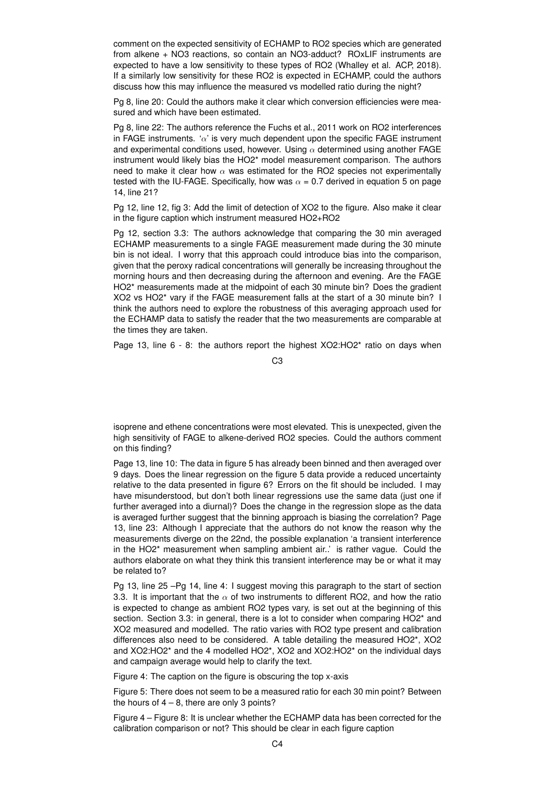comment on the expected sensitivity of ECHAMP to RO2 species which are generated from alkene + NO3 reactions, so contain an NO3-adduct? ROxLIF instruments are expected to have a low sensitivity to these types of RO2 (Whalley et al. ACP, 2018). If a similarly low sensitivity for these RO2 is expected in ECHAMP, could the authors discuss how this may influence the measured vs modelled ratio during the night?

Pg 8, line 20: Could the authors make it clear which conversion efficiencies were measured and which have been estimated.

Pg 8, line 22: The authors reference the Fuchs et al., 2011 work on RO2 interferences in FAGE instruments. ' $\alpha$ ' is very much dependent upon the specific FAGE instrument and experimental conditions used, however. Using  $\alpha$  determined using another FAGE instrument would likely bias the HO2\* model measurement comparison. The authors need to make it clear how  $\alpha$  was estimated for the RO2 species not experimentally tested with the IU-FAGE. Specifically, how was  $\alpha$  = 0.7 derived in equation 5 on page 14, line 21?

Pg 12, line 12, fig 3: Add the limit of detection of XO2 to the figure. Also make it clear in the figure caption which instrument measured HO2+RO2

Pg 12, section 3.3: The authors acknowledge that comparing the 30 min averaged ECHAMP measurements to a single FAGE measurement made during the 30 minute bin is not ideal. I worry that this approach could introduce bias into the comparison, given that the peroxy radical concentrations will generally be increasing throughout the morning hours and then decreasing during the afternoon and evening. Are the FAGE HO2\* measurements made at the midpoint of each 30 minute bin? Does the gradient XO2 vs HO2\* vary if the FAGE measurement falls at the start of a 30 minute bin? I think the authors need to explore the robustness of this averaging approach used for the ECHAMP data to satisfy the reader that the two measurements are comparable at the times they are taken.

Page 13, line 6 - 8: the authors report the highest XO2:HO2\* ratio on days when

C3

isoprene and ethene concentrations were most elevated. This is unexpected, given the high sensitivity of FAGE to alkene-derived RO2 species. Could the authors comment on this finding?

Page 13, line 10: The data in figure 5 has already been binned and then averaged over 9 days. Does the linear regression on the figure 5 data provide a reduced uncertainty relative to the data presented in figure 6? Errors on the fit should be included. I may have misunderstood, but don't both linear regressions use the same data (just one if further averaged into a diurnal)? Does the change in the regression slope as the data is averaged further suggest that the binning approach is biasing the correlation? Page 13, line 23: Although I appreciate that the authors do not know the reason why the measurements diverge on the 22nd, the possible explanation 'a transient interference in the HO2\* measurement when sampling ambient air..' is rather vague. Could the authors elaborate on what they think this transient interference may be or what it may be related to?

Pg 13, line 25 –Pg 14, line 4: I suggest moving this paragraph to the start of section 3.3. It is important that the  $\alpha$  of two instruments to different RO2, and how the ratio is expected to change as ambient RO2 types vary, is set out at the beginning of this section. Section 3.3: in general, there is a lot to consider when comparing HO2<sup>\*</sup> and XO2 measured and modelled. The ratio varies with RO2 type present and calibration differences also need to be considered. A table detailing the measured HO2\*, XO2 and XO2:HO2\* and the 4 modelled HO2\*, XO2 and XO2:HO2\* on the individual days and campaign average would help to clarify the text.

Figure 4: The caption on the figure is obscuring the top x-axis

Figure 5: There does not seem to be a measured ratio for each 30 min point? Between the hours of  $4 - 8$ , there are only 3 points?

Figure 4 – Figure 8: It is unclear whether the ECHAMP data has been corrected for the calibration comparison or not? This should be clear in each figure caption